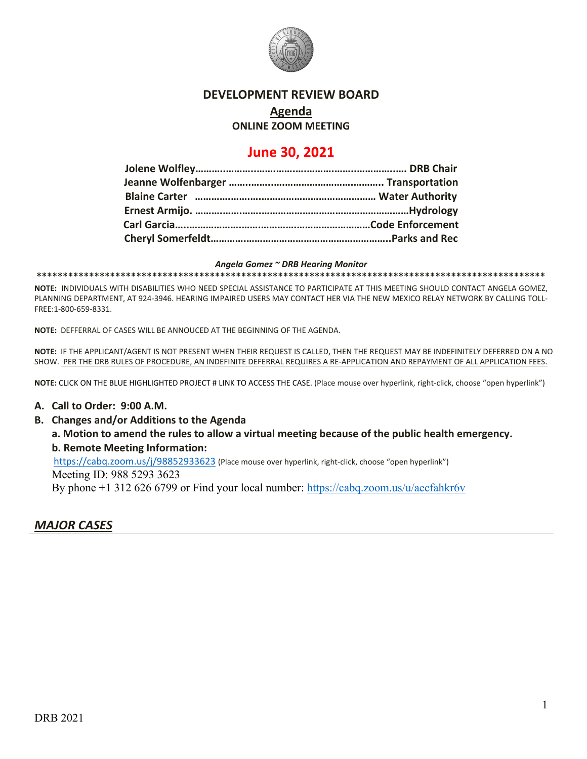

### **DEVELOPMENT REVIEW BOARD**

## **Agenda**

### **ONLINE ZOOM MEETING**

## **June 30, 2021**

#### *Angela Gomez ~ DRB Hearing Monitor*

**\*\*\*\*\*\*\*\*\*\*\*\*\*\*\*\*\*\*\*\*\*\*\*\*\*\*\*\*\*\*\*\*\*\*\*\*\*\*\*\*\*\*\*\*\*\*\*\*\*\*\*\*\*\*\*\*\*\*\*\*\*\*\*\*\*\*\*\*\*\*\*\*\*\*\*\*\*\*\*\*\*\*\*\*\*\*\*\*\*\*\*\*\*\*\*\*\***

**NOTE:** INDIVIDUALS WITH DISABILITIES WHO NEED SPECIAL ASSISTANCE TO PARTICIPATE AT THIS MEETING SHOULD CONTACT ANGELA GOMEZ, PLANNING DEPARTMENT, AT 924-3946. HEARING IMPAIRED USERS MAY CONTACT HER VIA THE NEW MEXICO RELAY NETWORK BY CALLING TOLL-FREE:1-800-659-8331.

**NOTE:** DEFFERRAL OF CASES WILL BE ANNOUCED AT THE BEGINNING OF THE AGENDA.

**NOTE:** IF THE APPLICANT/AGENT IS NOT PRESENT WHEN THEIR REQUEST IS CALLED, THEN THE REQUEST MAY BE INDEFINITELY DEFERRED ON A NO SHOW. PER THE DRB RULES OF PROCEDURE, AN INDEFINITE DEFERRAL REQUIRES A RE-APPLICATION AND REPAYMENT OF ALL APPLICATION FEES.

**NOTE:** CLICK ON THE BLUE HIGHLIGHTED PROJECT # LINK TO ACCESS THE CASE. (Place mouse over hyperlink, right-click, choose "open hyperlink")

### **A. Call to Order: 9:00 A.M.**

**B. Changes and/or Additions to the Agenda**

**a. Motion to amend the rules to allow a virtual meeting because of the public health emergency. b. Remote Meeting Information:** 

<https://cabq.zoom.us/j/98852933623> (Place mouse over hyperlink, right-click, choose "open hyperlink")

Meeting ID: 988 5293 3623

By phone +1 312 626 6799 or Find your local number:<https://cabq.zoom.us/u/aecfahkr6v>

## *MAJOR CASES*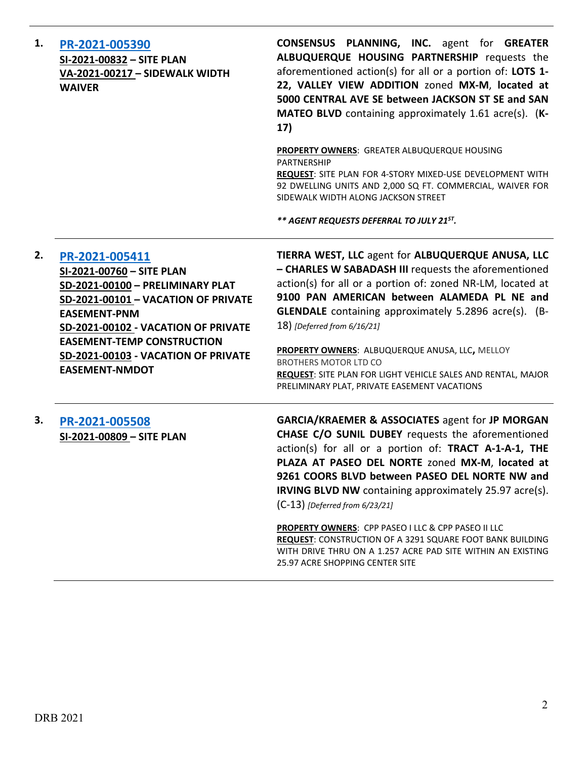| 1. | PR-2021-005390<br>SI-2021-00832 - SITE PLAN<br>VA-2021-00217 - SIDEWALK WIDTH<br><b>WAIVER</b>                                                                                                                                                                                            | <b>CONSENSUS PLANNING, INC.</b> agent for GREATER<br>ALBUQUERQUE HOUSING PARTNERSHIP requests the<br>aforementioned action(s) for all or a portion of: LOTS 1-<br>22, VALLEY VIEW ADDITION zoned MX-M, located at<br>5000 CENTRAL AVE SE between JACKSON ST SE and SAN<br>MATEO BLVD containing approximately 1.61 acre(s). (K-<br>17)                                                                                                                                                                                   |
|----|-------------------------------------------------------------------------------------------------------------------------------------------------------------------------------------------------------------------------------------------------------------------------------------------|--------------------------------------------------------------------------------------------------------------------------------------------------------------------------------------------------------------------------------------------------------------------------------------------------------------------------------------------------------------------------------------------------------------------------------------------------------------------------------------------------------------------------|
|    |                                                                                                                                                                                                                                                                                           | PROPERTY OWNERS: GREATER ALBUQUERQUE HOUSING<br><b>PARTNERSHIP</b><br>REQUEST: SITE PLAN FOR 4-STORY MIXED-USE DEVELOPMENT WITH<br>92 DWELLING UNITS AND 2,000 SQ FT. COMMERCIAL, WAIVER FOR<br>SIDEWALK WIDTH ALONG JACKSON STREET                                                                                                                                                                                                                                                                                      |
|    |                                                                                                                                                                                                                                                                                           | ** AGENT REQUESTS DEFERRAL TO JULY 21ST.                                                                                                                                                                                                                                                                                                                                                                                                                                                                                 |
| 2. | PR-2021-005411<br>SI-2021-00760 - SITE PLAN<br>SD-2021-00100 - PRELIMINARY PLAT<br>SD-2021-00101 - VACATION OF PRIVATE<br><b>EASEMENT-PNM</b><br>SD-2021-00102 - VACATION OF PRIVATE<br><b>EASEMENT-TEMP CONSTRUCTION</b><br>SD-2021-00103 - VACATION OF PRIVATE<br><b>EASEMENT-NMDOT</b> | TIERRA WEST, LLC agent for ALBUQUERQUE ANUSA, LLC<br>- CHARLES W SABADASH III requests the aforementioned<br>action(s) for all or a portion of: zoned NR-LM, located at<br>9100 PAN AMERICAN between ALAMEDA PL NE and<br><b>GLENDALE</b> containing approximately 5.2896 acre(s). (B-<br>18) [Deferred from 6/16/21]<br>PROPERTY OWNERS: ALBUQUERQUE ANUSA, LLC, MELLOY<br><b>BROTHERS MOTOR LTD CO</b><br>REQUEST: SITE PLAN FOR LIGHT VEHICLE SALES AND RENTAL, MAJOR<br>PRELIMINARY PLAT, PRIVATE EASEMENT VACATIONS |
| 3. | PR-2021-005508<br>SI-2021-00809 - SITE PLAN                                                                                                                                                                                                                                               | <b>GARCIA/KRAEMER &amp; ASSOCIATES agent for JP MORGAN</b><br>CHASE C/O SUNIL DUBEY requests the aforementioned<br>action(s) for all or a portion of: TRACT A-1-A-1, THE<br>PLAZA AT PASEO DEL NORTE zoned MX-M, located at<br>9261 COORS BLVD between PASEO DEL NORTE NW and<br><b>IRVING BLVD NW</b> containing approximately 25.97 acre(s).<br>$(C-13)$ [Deferred from 6/23/21]                                                                                                                                       |
|    |                                                                                                                                                                                                                                                                                           | PROPERTY OWNERS: CPP PASEO I LLC & CPP PASEO II LLC<br>REQUEST: CONSTRUCTION OF A 3291 SQUARE FOOT BANK BUILDING<br>WITH DRIVE THRU ON A 1.257 ACRE PAD SITE WITHIN AN EXISTING<br>25.97 ACRE SHOPPING CENTER SITE                                                                                                                                                                                                                                                                                                       |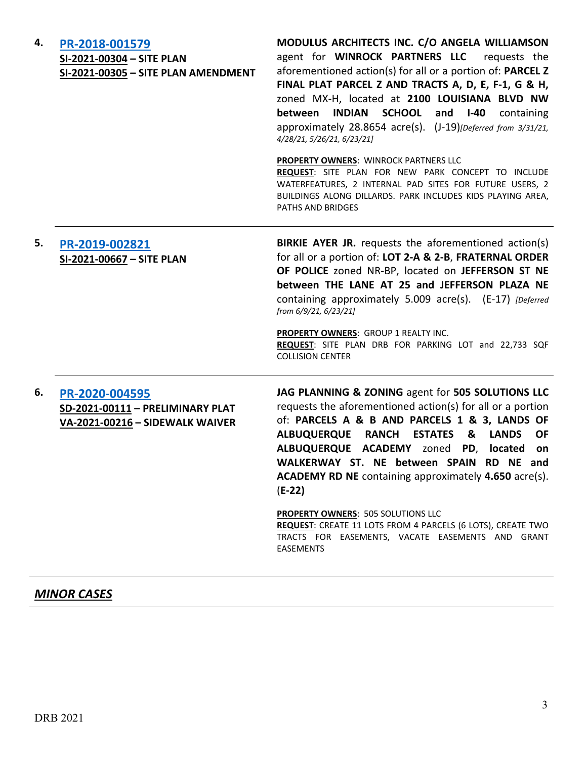| 4. | PR-2018-001579<br>SI-2021-00304 - SITE PLAN<br>SI-2021-00305 - SITE PLAN AMENDMENT    | MODULUS ARCHITECTS INC. C/O ANGELA WILLIAMSON<br>agent for WINROCK PARTNERS LLC<br>requests the<br>aforementioned action(s) for all or a portion of: PARCEL Z<br>FINAL PLAT PARCEL Z AND TRACTS A, D, E, F-1, G & H,<br>zoned MX-H, located at 2100 LOUISIANA BLVD NW<br>INDIAN SCHOOL<br>between<br>and $I-40$<br>containing<br>approximately 28.8654 acre(s). (J-19)[Deferred from 3/31/21,<br>4/28/21, 5/26/21, 6/23/21]                                                                                                                                                                                |
|----|---------------------------------------------------------------------------------------|------------------------------------------------------------------------------------------------------------------------------------------------------------------------------------------------------------------------------------------------------------------------------------------------------------------------------------------------------------------------------------------------------------------------------------------------------------------------------------------------------------------------------------------------------------------------------------------------------------|
|    |                                                                                       | PROPERTY OWNERS: WINROCK PARTNERS LLC<br>REQUEST: SITE PLAN FOR NEW PARK CONCEPT TO INCLUDE<br>WATERFEATURES, 2 INTERNAL PAD SITES FOR FUTURE USERS, 2<br>BUILDINGS ALONG DILLARDS. PARK INCLUDES KIDS PLAYING AREA,<br>PATHS AND BRIDGES                                                                                                                                                                                                                                                                                                                                                                  |
| 5. | PR-2019-002821<br>SI-2021-00667 - SITE PLAN                                           | <b>BIRKIE AYER JR.</b> requests the aforementioned action(s)<br>for all or a portion of: LOT 2-A & 2-B, FRATERNAL ORDER<br>OF POLICE zoned NR-BP, located on JEFFERSON ST NE<br>between THE LANE AT 25 and JEFFERSON PLAZA NE<br>containing approximately 5.009 acre(s). (E-17) [Deferred<br>from 6/9/21, 6/23/21]<br>PROPERTY OWNERS: GROUP 1 REALTY INC.<br>REQUEST: SITE PLAN DRB FOR PARKING LOT and 22,733 SQF<br><b>COLLISION CENTER</b>                                                                                                                                                             |
| 6. | PR-2020-004595<br>SD-2021-00111 - PRELIMINARY PLAT<br>VA-2021-00216 - SIDEWALK WAIVER | JAG PLANNING & ZONING agent for 505 SOLUTIONS LLC<br>requests the aforementioned action(s) for all or a portion<br>of: PARCELS A & B AND PARCELS 1 & 3, LANDS OF<br><b>LANDS</b><br>ALBUQUERQUE RANCH<br><b>ESTATES</b><br>&<br><b>OF</b><br>ALBUQUERQUE ACADEMY zoned<br>located<br>PD,<br>on<br>WALKERWAY ST. NE between SPAIN RD NE and<br><b>ACADEMY RD NE</b> containing approximately 4.650 acre(s).<br>$(E-22)$<br><b>PROPERTY OWNERS: 505 SOLUTIONS LLC</b><br>REQUEST: CREATE 11 LOTS FROM 4 PARCELS (6 LOTS), CREATE TWO<br>TRACTS FOR EASEMENTS, VACATE EASEMENTS AND GRANT<br><b>EASEMENTS</b> |

## *MINOR CASES*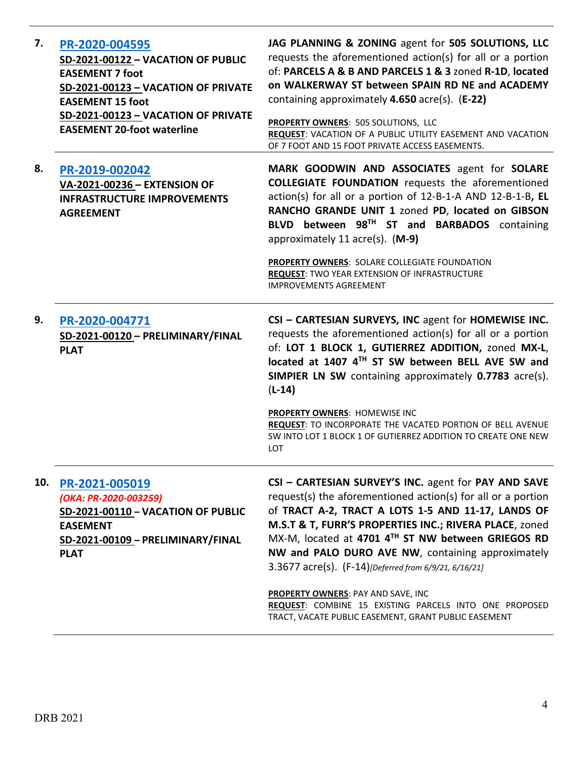| 7.  | PR-2020-004595<br>SD-2021-00122 - VACATION OF PUBLIC<br><b>EASEMENT 7 foot</b><br>SD-2021-00123 - VACATION OF PRIVATE<br><b>EASEMENT 15 foot</b><br>SD-2021-00123 - VACATION OF PRIVATE<br><b>EASEMENT 20-foot waterline</b> | JAG PLANNING & ZONING agent for 505 SOLUTIONS, LLC<br>requests the aforementioned action(s) for all or a portion<br>of: PARCELS A & B AND PARCELS 1 & 3 zoned R-1D, located<br>on WALKERWAY ST between SPAIN RD NE and ACADEMY<br>containing approximately 4.650 acre(s). (E-22)<br>PROPERTY OWNERS: 505 SOLUTIONS, LLC<br>REQUEST: VACATION OF A PUBLIC UTILITY EASEMENT AND VACATION<br>OF 7 FOOT AND 15 FOOT PRIVATE ACCESS EASEMENTS.                |
|-----|------------------------------------------------------------------------------------------------------------------------------------------------------------------------------------------------------------------------------|----------------------------------------------------------------------------------------------------------------------------------------------------------------------------------------------------------------------------------------------------------------------------------------------------------------------------------------------------------------------------------------------------------------------------------------------------------|
| 8.  | PR-2019-002042<br>VA-2021-00236 - EXTENSION OF<br><b>INFRASTRUCTURE IMPROVEMENTS</b><br><b>AGREEMENT</b>                                                                                                                     | MARK GOODWIN AND ASSOCIATES agent for SOLARE<br><b>COLLEGIATE FOUNDATION</b> requests the aforementioned<br>action(s) for all or a portion of 12-B-1-A AND 12-B-1-B, EL<br>RANCHO GRANDE UNIT 1 zoned PD, located on GIBSON<br>BLVD between 98TH ST and BARBADOS containing<br>approximately 11 acre(s). (M-9)<br>PROPERTY OWNERS: SOLARE COLLEGIATE FOUNDATION<br><b>REQUEST: TWO YEAR EXTENSION OF INFRASTRUCTURE</b><br><b>IMPROVEMENTS AGREEMENT</b> |
| 9.  | PR-2020-004771<br>SD-2021-00120 - PRELIMINARY/FINAL<br><b>PLAT</b>                                                                                                                                                           | CSI - CARTESIAN SURVEYS, INC agent for HOMEWISE INC.<br>requests the aforementioned action(s) for all or a portion<br>of: LOT 1 BLOCK 1, GUTIERREZ ADDITION, zoned MX-L,<br>located at 1407 4TH ST SW between BELL AVE SW and<br>SIMPIER LN SW containing approximately 0.7783 acre(s).<br>$(L-14)$                                                                                                                                                      |
|     |                                                                                                                                                                                                                              | PROPERTY OWNERS: HOMEWISE INC<br>REQUEST: TO INCORPORATE THE VACATED PORTION OF BELL AVENUE<br>SW INTO LOT 1 BLOCK 1 OF GUTIERREZ ADDITION TO CREATE ONE NEW<br>LOT                                                                                                                                                                                                                                                                                      |
| 10. | PR-2021-005019<br>(OKA: PR-2020-003259)<br>SD-2021-00110 - VACATION OF PUBLIC<br><b>EASEMENT</b><br>SD-2021-00109 - PRELIMINARY/FINAL<br><b>PLAT</b>                                                                         | CSI - CARTESIAN SURVEY'S INC. agent for PAY AND SAVE<br>request(s) the aforementioned action(s) for all or a portion<br>of TRACT A-2, TRACT A LOTS 1-5 AND 11-17, LANDS OF<br>M.S.T & T, FURR'S PROPERTIES INC.; RIVERA PLACE, zoned<br>MX-M, located at 4701 4TH ST NW between GRIEGOS RD<br>NW and PALO DURO AVE NW, containing approximately<br>3.3677 acre(s). (F-14)[Deferred from 6/9/21, 6/16/21]<br>PROPERTY OWNERS: PAY AND SAVE, INC           |
|     |                                                                                                                                                                                                                              | REQUEST: COMBINE 15 EXISTING PARCELS INTO ONE PROPOSED<br>TRACT, VACATE PUBLIC EASEMENT, GRANT PUBLIC EASEMENT                                                                                                                                                                                                                                                                                                                                           |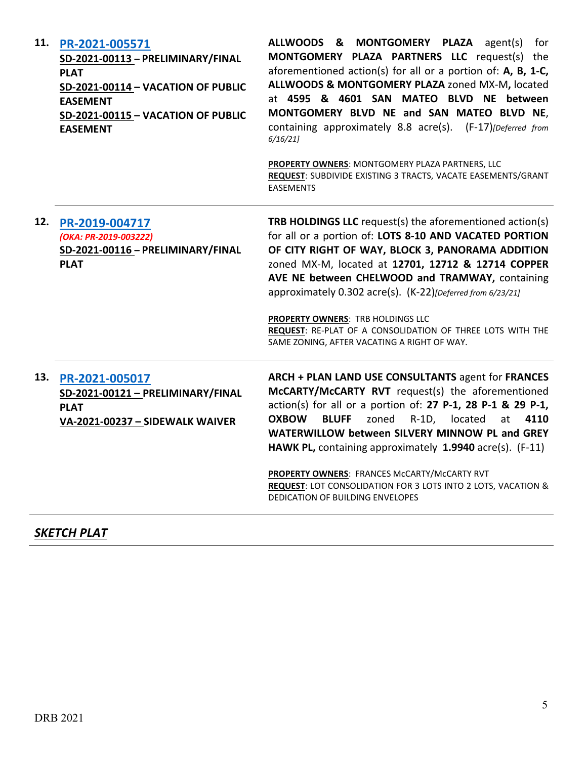| 11. | PR-2021-005571<br>SD-2021-00113 - PRELIMINARY/FINAL<br><b>PLAT</b><br><b>SD-2021-00114 - VACATION OF PUBLIC</b><br><b>EASEMENT</b><br>SD-2021-00115 - VACATION OF PUBLIC<br><b>EASEMENT</b> | ALLWOODS & MONTGOMERY PLAZA agent(s)<br>for<br>MONTGOMERY PLAZA PARTNERS LLC request(s) the<br>aforementioned action(s) for all or a portion of: A, B, 1-C,<br>ALLWOODS & MONTGOMERY PLAZA zoned MX-M, located<br>at 4595 & 4601 SAN MATEO BLVD NE between<br>MONTGOMERY BLVD NE and SAN MATEO BLVD NE,<br>containing approximately 8.8 acre(s). (F-17)[Deferred from<br>6/16/21<br>PROPERTY OWNERS: MONTGOMERY PLAZA PARTNERS, LLC<br>REQUEST: SUBDIVIDE EXISTING 3 TRACTS, VACATE EASEMENTS/GRANT<br><b>EASEMENTS</b> |
|-----|---------------------------------------------------------------------------------------------------------------------------------------------------------------------------------------------|-------------------------------------------------------------------------------------------------------------------------------------------------------------------------------------------------------------------------------------------------------------------------------------------------------------------------------------------------------------------------------------------------------------------------------------------------------------------------------------------------------------------------|
| 12. | PR-2019-004717<br>(OKA: PR-2019-003222)<br>SD-2021-00116 - PRELIMINARY/FINAL<br><b>PLAT</b>                                                                                                 | <b>TRB HOLDINGS LLC</b> request(s) the aforementioned action(s)<br>for all or a portion of: LOTS 8-10 AND VACATED PORTION<br>OF CITY RIGHT OF WAY, BLOCK 3, PANORAMA ADDITION<br>zoned MX-M, located at 12701, 12712 & 12714 COPPER<br>AVE NE between CHELWOOD and TRAMWAY, containing<br>approximately 0.302 acre(s). (K-22) [Deferred from 6/23/21]<br>PROPERTY OWNERS: TRB HOLDINGS LLC<br>REQUEST: RE-PLAT OF A CONSOLIDATION OF THREE LOTS WITH THE<br>SAME ZONING, AFTER VACATING A RIGHT OF WAY.                 |
|     | 13. PR-2021-005017<br>SD-2021-00121 - PRELIMINARY/FINAL<br><b>PLAT</b><br>VA-2021-00237 - SIDEWALK WAIVER                                                                                   | ARCH + PLAN LAND USE CONSULTANTS agent for FRANCES<br>McCARTY/McCARTY RVT request(s) the aforementioned<br>action(s) for all or a portion of: 27 P-1, 28 P-1 & 29 P-1,<br><b>OXBOW</b><br><b>BLUFF</b><br>zoned<br>R-1D, located<br>4110<br>at<br>WATERWILLOW between SILVERY MINNOW PL and GREY<br>HAWK PL, containing approximately 1.9940 acre(s). (F-11)<br>PROPERTY OWNERS: FRANCES McCARTY/McCARTY RVT<br>REQUEST: LOT CONSOLIDATION FOR 3 LOTS INTO 2 LOTS, VACATION &<br>DEDICATION OF BUILDING ENVELOPES       |

# *SKETCH PLAT*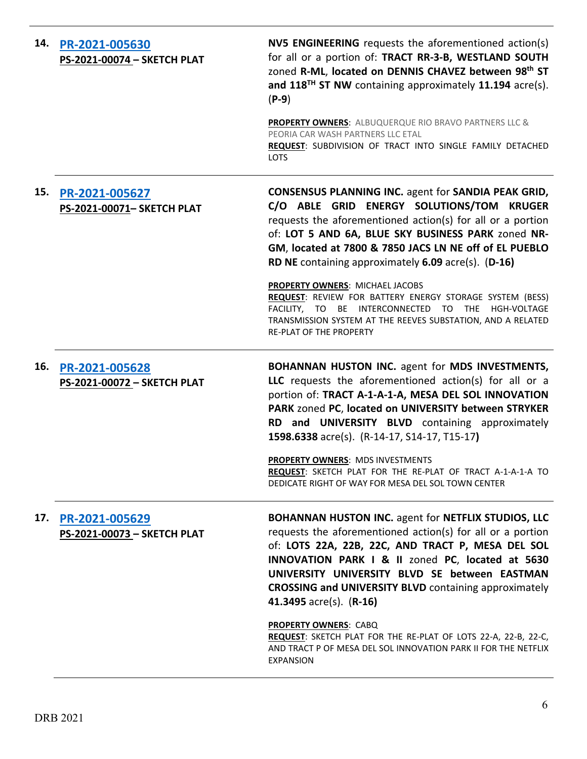| 14. | PR-2021-005630<br>PS-2021-00074 - SKETCH PLAT | <b>NV5 ENGINEERING</b> requests the aforementioned action(s)<br>for all or a portion of: TRACT RR-3-B, WESTLAND SOUTH<br>zoned R-ML, located on DENNIS CHAVEZ between 98th ST<br>and 118 <sup>TH</sup> ST NW containing approximately 11.194 acre(s).<br>$(P-9)$                                                                                                                |
|-----|-----------------------------------------------|---------------------------------------------------------------------------------------------------------------------------------------------------------------------------------------------------------------------------------------------------------------------------------------------------------------------------------------------------------------------------------|
|     |                                               | PROPERTY OWNERS: ALBUQUERQUE RIO BRAVO PARTNERS LLC &<br>PEORIA CAR WASH PARTNERS LLC ETAL<br>REQUEST: SUBDIVISION OF TRACT INTO SINGLE FAMILY DETACHED<br>LOTS                                                                                                                                                                                                                 |
| 15. | PR-2021-005627<br>PS-2021-00071- SKETCH PLAT  | <b>CONSENSUS PLANNING INC. agent for SANDIA PEAK GRID,</b><br>C/O ABLE GRID ENERGY SOLUTIONS/TOM KRUGER<br>requests the aforementioned action(s) for all or a portion<br>of: LOT 5 AND 6A, BLUE SKY BUSINESS PARK zoned NR-<br>GM, located at 7800 & 7850 JACS LN NE off of EL PUEBLO<br>RD NE containing approximately 6.09 acre(s). (D-16)<br>PROPERTY OWNERS: MICHAEL JACOBS |
|     |                                               | REQUEST: REVIEW FOR BATTERY ENERGY STORAGE SYSTEM (BESS)<br>FACILITY, TO BE INTERCONNECTED TO THE HGH-VOLTAGE<br>TRANSMISSION SYSTEM AT THE REEVES SUBSTATION, AND A RELATED<br><b>RE-PLAT OF THE PROPERTY</b>                                                                                                                                                                  |
| 16. | PR-2021-005628<br>PS-2021-00072 - SKETCH PLAT | <b>BOHANNAN HUSTON INC. agent for MDS INVESTMENTS,</b><br>LLC requests the aforementioned action(s) for all or a                                                                                                                                                                                                                                                                |
|     |                                               | portion of: TRACT A-1-A-1-A, MESA DEL SOL INNOVATION<br>PARK zoned PC, located on UNIVERSITY between STRYKER<br>RD and UNIVERSITY BLVD containing approximately<br>1598.6338 acre(s). (R-14-17, S14-17, T15-17)                                                                                                                                                                 |
|     |                                               | PROPERTY OWNERS: MDS INVESTMENTS<br>REQUEST: SKETCH PLAT FOR THE RE-PLAT OF TRACT A-1-A-1-A TO<br>DEDICATE RIGHT OF WAY FOR MESA DEL SOL TOWN CENTER                                                                                                                                                                                                                            |
| 17. | PR-2021-005629<br>PS-2021-00073 - SKETCH PLAT | <b>BOHANNAN HUSTON INC. agent for NETFLIX STUDIOS, LLC</b><br>requests the aforementioned action(s) for all or a portion<br>of: LOTS 22A, 22B, 22C, AND TRACT P, MESA DEL SOL<br>INNOVATION PARK I & II zoned PC, located at 5630<br>UNIVERSITY UNIVERSITY BLVD SE between EASTMAN<br><b>CROSSING and UNIVERSITY BLVD</b> containing approximately<br>41.3495 acre(s). (R-16)   |